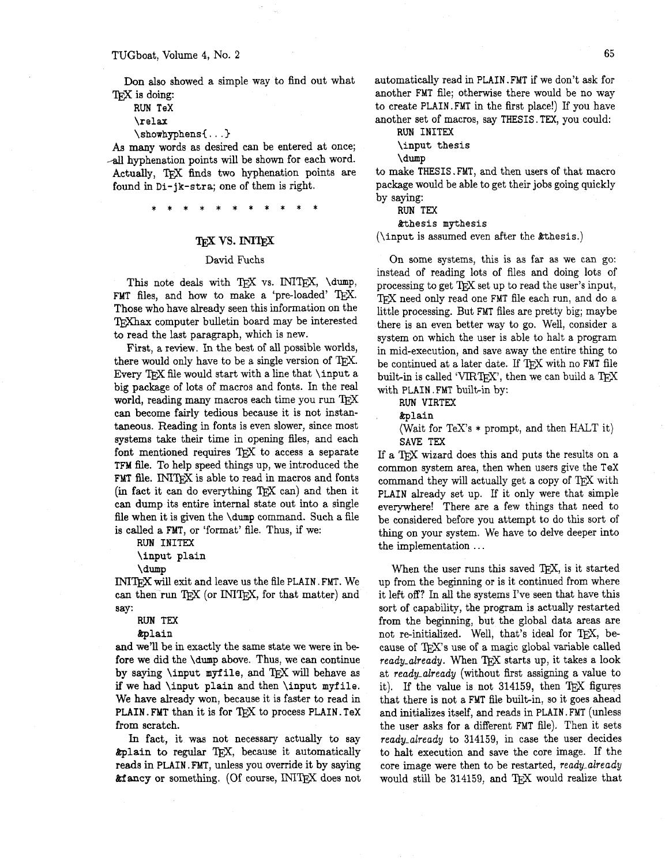Don also showed a simple way to find out what T<sub>F</sub>X is doing:

**RUN** TeX

\relax

\showhyphens{ . . . )

As many words as desired can be entered at once;  $\sim$ all hyphenation points will be shown for each word. Actually, TFX finds two hyphenation points are found in Di-jk-stra; one of them is right.

# **TEX VS. INITEX**

## David Fuchs

This note deals with TEX vs. INITEX, \dump, FMT files, and how to make a 'pre-loaded' TEX. Those who have already seen this information on the T<sub>R</sub>Xhax computer bulletin board may be interested to read the last paragraph, which is new.

First, a review. In the best of **all** possible worlds, there would only have to be a single version of  $T_F X$ . Every TEX file would start with a line that **\input** a big package of lots of macros and fonts. In the real world, reading many macros each time you run TEX can become fairly tedious because it is not instantaneous. Reading in fonts is even slower, since most systems take their time in opening files, and each font mentioned requires  $T_F X$  to access a separate TFM file. To help speed things up, we introduced the FMT file. INITEX is able to read in macros and fonts (in fact it can do everything  $T_{E}X$  can) and then it can dump its entire internal state out into a single file when it is given the  $\dim p$  command. Such a file is called a FMT, or 'format' file. Thus, if we:

RUN INITEX \input plain

\dump

INITEX will exit and leave us the file PLAIN. FMT. We can then run TFX (or INITFX, for that matter) and say:

RUN TEX

&plain

and we'll be in exactly the same state we were in before we did the \dump above. Thus, we can continue by saying  $\in$  myfile, and TFX will behave as if we had \input plain and then \input myfile. We have already won, because it is faster to read in PLAIN. FMT than it is for  $T_{F}X$  to process PLAIN. TeX from scratch.

In fact, it was not necessary actually to say &plain to regular 'QX, because it automatically reds in PLAIN. **FMT,** unless you override it by saying **&fancy** or something. (Of course, INITEX does not automatically read in PLAIN. FMT if we don't ask for another FMT file; otherwise there would be no way to create PLAIN. FMT in the first place!) If you have another set of macros, say THESIS. TEX, you could:

RUN INITEX

\input thesis

\dump

to make THESIS .FMT, and then users of that macro package would be able to get their jobs going quickly by saying:

RUN TEX

%thesis mythesis

(\input is assumed even after the &thesis.)

On some systems, this is as far as we can go: instead of reading lots of files and doing lots of processing to get T<sub>F</sub>X set up to read the user's input, TFX need only read one FMT file each run, and do a little processing. But FMT files are pretty big; maybe there is an even better way to go. Well, consider a system on which the user is able to halt a program in mid-execution, and save away the entire thing to be continued at a later date. If TFX with no FMT file built-in is called 'VIRTEX', then we can build a TEX with PLAIN. FMT built-in by:

RUN VIRTEX

&plain

(Wait for TeX's \* prompt, and then HALT it) SAVE TEX

If a T<sub>RX</sub> wizard does this and puts the results on a common system area, then when users give the TeX command they will actually get a copy of TEX with PLAIN already set up. If it only were that simple everywhere! There are a few things that need to be considered before you attempt to do this sort of thing on your system. We have to delve deeper into the implementation . . .

When the user runs this saved T<sub>E</sub>X, is it started up from the beginning or is it continued from where it left off? In **all** the systems I've seen that have this sort of capability, the program is actually restarted from the beginning, but the global data areas are not re-initialized. Well, that's ideal for TEX, because of TEX's use of a magic global variable called *ready\_already.* When TFX starts up, it takes a look at *ready-already* (without first assigning a value to it). If the value is not 314159, then  $T<sub>EX</sub>$  figures that there is not a FMT file built-in, so it goes ahead and initializes itself, and reads in PLAIN. FMT (unless the user asks for a different FMT file). Then it sets *ready-already* to 314159, in case the user decides to halt execution and save the core image. If the core image were then to be restarted, *ready-already*  would still be 314159, and T<sub>F</sub>X would realize that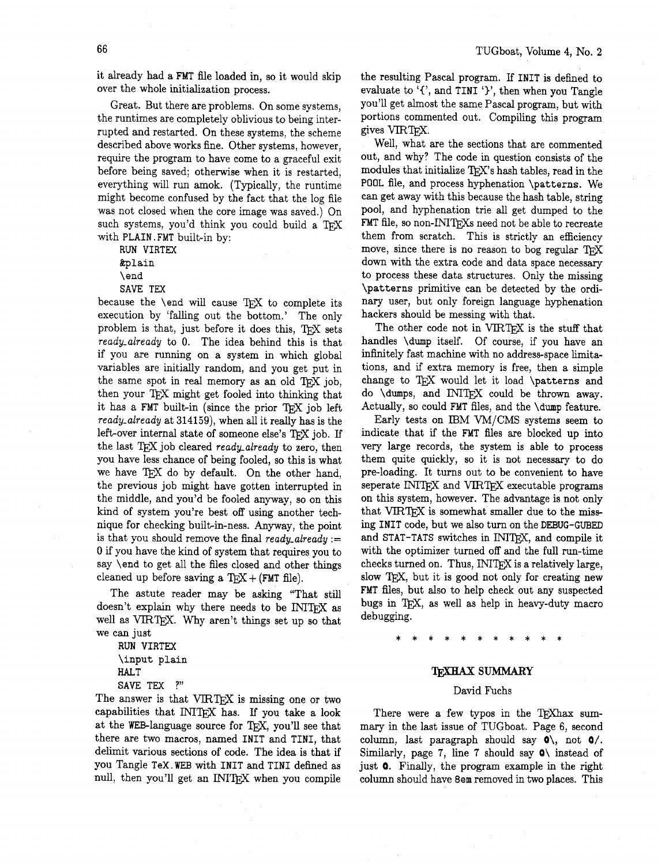it already had a **FMT** file loaded in, so it would skip over the whole initialization process.

Great. But there are problems. On some systems, the runtimes are completely oblivious to being interrupted and restarted. On these systems, the scheme described above works fine. Other systems, however, require the program to have come to a graceful exit before being saved; otherwise when it is restarted, everything will run amok. (Typically, the runtime might become confused by the fact that the log file was not closed when the core image was saved.) On such systems, you'd think you could build a TEX with **PLAIN. FMT** built-in by:

**RUN VIRTEX**  &plain \end

**SAVE TEX** 

because the  $\end{math}$  vill cause TFX to complete its execution by 'falling out the bottom.' The only problem is that, just before it does this, TFX sets *ready-already* to 0. The idea behind this is that if you are running on a system in which global variables are initially random, and you get put in the same spot in real memory as an old TFX job, then your TEX might get fooled into thinking that it has a FMT built-in (since the prior TEX job left *ready-already* at **314159),** when all it really has is the left-over internal state of someone else's TEX job. If the last T<sub>FX</sub> job cleared *ready-already* to zero, then you have less chance of being fooled, so this is what we have TEX do by default. On the other hand, the previous job might have gotten interrupted in the middle, and you'd be fooled anyway, so on this kind of system you're best off using another technique for checking built-in-ness. Anyway, the point is that you should remove the final *ready\_already* := 0 if you have the kind of system that requires you to say \end to get all the files closed and other things cleaned up before saving a  $TEX + (FMT$  file).

The astute reader may be asking "That still doesn't explain why there needs to be INITFX as well as VIRT<sub>FX</sub>. Why aren't things set up so that we can just

**RUN VIRTEX**  \input plain **HALT SAVE TEX** ?"

The answer is that VIRTEX is missing one or two capabilities that INITEX has. If you take a look at the WEB-language source for TFX, you'll see that there are two macros, named **INIT** and **TINI,** that delimit various sections of code. The idea is that if you Tangle **TeX.WFB** with **INIT** and **TINI** defined as null, then you'll get an INIT<sub>F</sub>X when you compile the resulting Pascal program. If **INIT** is defined **to**  evaluate to  $\mathcal{F}'$ , and **TINI**  $\mathcal{F}'$ , then when you Tangle you'll get almost the same Pascal program, but with portions commented out. Compiling this program gives VIRTEX.

Well, what are the sections that are commented out, and why? The code in question consists of the modules that initialize TEX's hash tables, read in the **POOL** file, and process hyphenation \patterns. We can get away with this because the hash table, string pool, and hyphenation trie all get dumped to the FMT file, so non-INIT<sub>F</sub>Xs need not be able to recreate them from scratch. This is strictly an efficiency move, since there is no reason to bog regular TFX down with the extra code and data space necessary to process these data structures. Only the missing \patterns primitive can be detected by the ordinary user, but only foreign language hyphenation hackers should be messing with that.

The other code not in VIRTEX is the stuff that handles \dump itself. Of course, if you have an infinitely fast machine with no address-space limitations, and if extra memory is free, then a simple change to TFX would let it load  $\partial$  batterns and do  $\d$ umps, and INITEX could be thrown away. Actually, so could **FMT** files, and the **\dump** feature.

Early tests on IBM VM/CMS systems seem to indicate that if the **FMT** files are blocked up into very large records, the system is able to process them quite quickly, so it is not necessary to do pre-loading. It turns out to be convenient to have seperate INITEX and VIRTEX executable programs on this system, however. The advantage is not only that VIRTEX is somewhat smaller due to the missing **INIT** code, but we also turn on the **DEBUG-GUBED**  and STAT-TATS switches in INIT<sub>F</sub>X, and compile it with the optimizer turned off and the full run-time checks turned on. Thus,  $\text{INITEX}$  is a relatively large, slow TEX, but it is good not only for creating new FMT files, but also to help check out any suspected bugs in QX, as well as help in heavy-duty macro debugging.

### **TEXHAX SUMMARY**

## David Fuchs

There were a few typos in the TEXhax summary in the last issue of TUGboat. Page 6, second column, last paragraph should say  $\circ \setminus$ , not  $\circ$ /. Similarly, page 7, line 7 should say  $\circ$  instead of just Q. Finally, the program example in the right column should have 8em removed in two places. This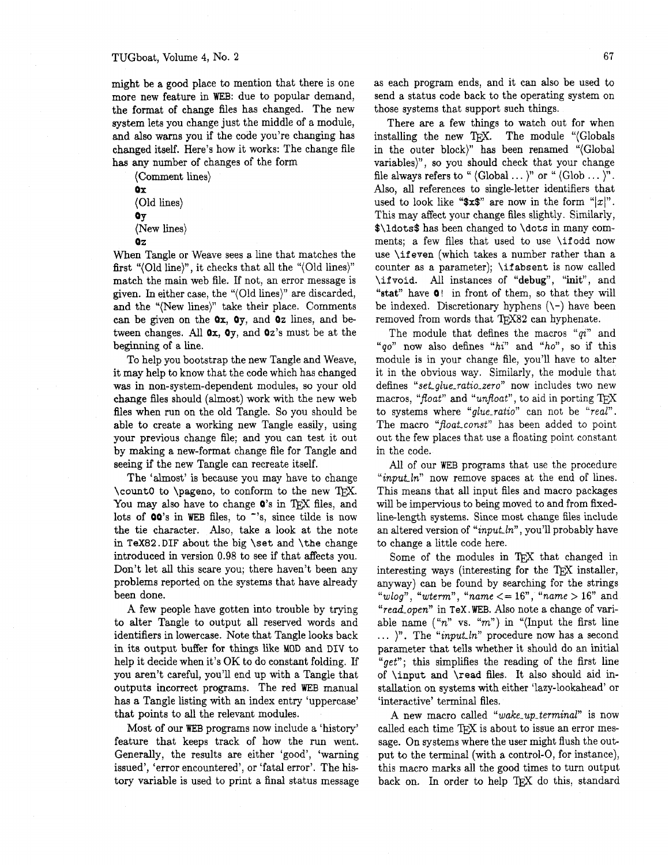might be a good place to mention that there is one more new feature in WEB: due to popular demand, the format of change files has changed. The new system lets you change just the middle of a module, and also warns you if the code you're changing has changed itself. Here's how it works: The change file has any number of changes of the form

(Comment lines) Ox (Old lines) **Q**<sub>y</sub> (New lines)

 $0<sub>7</sub>$ 

When Tangle or Weave sees a line that matches the fist "(Old line)", it checks that all the "(Old lines)" match the main web file. If not, an error message is given. In either case, the "(Old lines)" are discarded, and the "(New lines)" take their place. Comments can be given on the  $Qx$ ,  $Qy$ , and  $Qz$  lines, and between changes. All  $\mathbf{0}x$ ,  $\mathbf{0}y$ , and  $\mathbf{0}z$ 's must be at the beginning of a line.

To help you bootstrap the new Tangle and Weave, it may help to know that the code which has changed was in non-system-dependent modules, so your old change files should (almost) work with the new web files when run on the old Tangle. So you should be able to create a working new Tangle easily, using your previous change file; and you can test it out by making a new-format change file for Tangle and seeing if the new Tangle can recreate itself.

The 'almost' is because you may have to change \count0 to \pageno, to conform to the new TEX. You may also have to change  $\mathbf{0}'$ 's in TEX files, and lots of **00**'s in WEB files, to "'s, since tilde is now the tie character. Also, take a look at the note in **TeX82.DIF** about the big \set and \the change introduced in version 0.98 to see if that affects you. Don't let **all** this scare you; there haven't been any problems reported on the systems that have already been done.

**A** few people have gotten into trouble by trying to alter Tangle to output **all** reserved words and identifiers in lowercase. Note that Tangle looks back in its output buffer for things like MOD and DIV to help it decide when it's OK to do constant folding. If you aren't careful, you'll end up with a Tangle that outputs incorrect programs. The red WEB manual has a Tangle listing with an index entry 'uppercase' that points to all the relevant modules.

Most of our WEB programs now include a 'history' feature that keeps track of how the run went. Generally, the results are either 'good', 'warning issued', 'error encountered', or 'fatal error'. The history variable is used to print a final status message as each program ends, and it can also be used to send a status code back to the operating system on those systems that support such things.

There are a few things to watch out for when installing the new TFX. The module "(Globals in the outer block)" has been renamed "(Global variables)", so you should check that your change file always refers to "  $\langle$  Global ...  $\rangle$ " or "  $\langle$  Glob ...  $\rangle$ ". Also, all references to singleletter identifiers that used to look like " $x\$ " are now in the form "|x|". This may affect your change files slightly. Similarly, \$\ldots\$ has been changed to \dots in many comments; a few files that used to use \ifodd now use \if even (which takes a number rather than a counter as a parameter); \ifabsent is now called \ifvoid. All instances of **"debug",** "init", and "stat" have Q! in front of them, so that they will be indexed. Discretionary hyphens  $(\neg)$  have been removed from words that TEX82 can hyphenate.

The module that defines the macros " $qi$ " and "qo" now also defines "hi" and "ho", so if this module is in your change file, you'll have to alter it in the obvious way. Similarly, the module that defines "set glue\_ratio\_zero" now includes two new macros, "float" and "unfloat", to aid in porting TEX to systems where "glue\_ratio" can not be "real". The macro "float-const" has been added to point out the few places that use a floating point constant in the code.

All of our WEB programs that use the procedure "*input ln*" now remove spaces at the end of lines. This means that all input files and macro packages will be impervious to being moved to and from fixedlinelength systems. Since most change files include an altered version of "input  $ln$ ", you'll probably have to change a little code here.

Some of the modules in T<sub>F</sub>X that changed in interesting ways (interesting for the T $\overline{r}X$  installer, anyway) can be found by searching for the strings "wlog", "wterm", "name  $\leq$  = 16", "name > 16" and "read\_open" in TeX. WEB. Also note a change of variable name  $("n" vs. "m")$  in "(Input the first line  $\ldots$  )". The "*input\_ln*" procedure now has a second parameter that tells whether it should do an initial "get"; this simplifies the reading of the first line of \input and \read files. It also should aid installation on systems with either 'lazy-lookahead' or 'interactive' terminal files.

A new macro called "wake-up-terminal" is now called each time TFX is about to issue an error message. On systems where the user might flush the output to the terminal (with a control-0, for instance), this macro marks all the good times to turn output back on. In order to help TEX do this, standard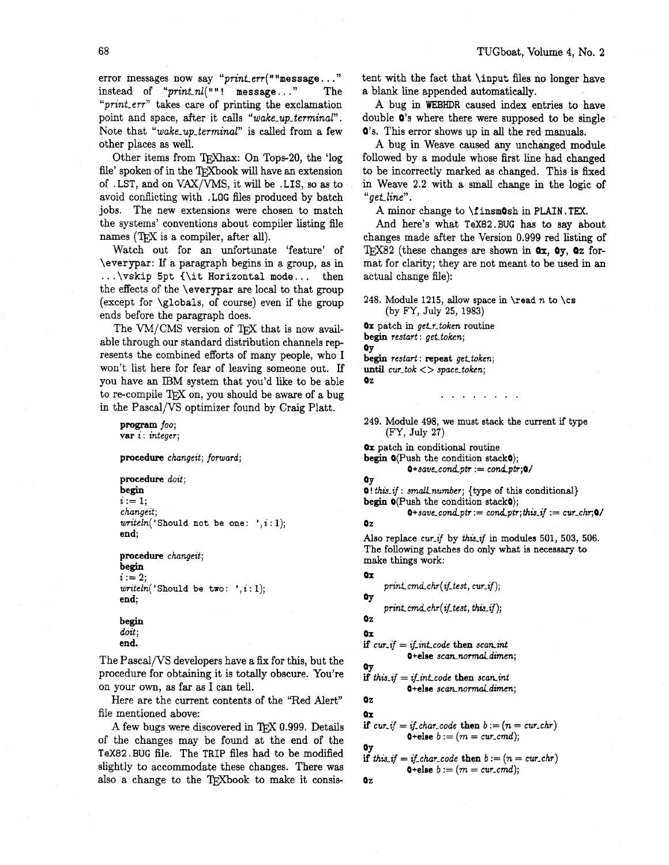error messages now say " $print_error("message...")$ instead of " $print_n l($ ""! message..." The "*print\_err*" takes care of printing the exclamation point and space, after it calls "wake-up-terminal". Note that "wake\_up\_terminal" is called from a few other places as well.

Other items from TFXhax: On Tops-20, the 'log file' spoken of in the TrXbook will have an extension of .LST, and on VAX/VMS, it will be .LIS, so as to avoid conflicting with .LOG files produced by batch jobs. The new extensions were chosen to match the systems' conventions about compiler listing file names (TEX is a compiler, after all).

Watch out for an unfortunate 'feature' of \everypar: If a paragraph begins in a group, as in ... \vskip **5pt <\it** Horizontal mode ... then the effects of the \everypar are local to that group (except for \globals, of course) even if the group<br>ends before the paragraph does.<br>The VM/CMS version of T<sub>E</sub>X that is now avail-<br>able through our standard distribution channels ron ends before the paragraph does.

able through our standard distribution channels represents the combined efforts of many people, who I won't list here for fear of leaving someone out. **Lf**  you have an IBM system that you'd like to be able to re-compile TFX on, you should be aware of a bug in the Pascal/VS optimizer found by Craig Platt.

#### program foo: **var i** : integer;

procedure changeit; forward;

```
procedure doit;
begin 
i := 1;changeit; 
written('Should not be one: ', i: 1);end;
```
procedure changeit; begin  $i := 2$ ;  $written('Should be two: ', i: 1);$ end;

```
begin 
doit; 
end.
```
The Pascal/VS developers have a fix for this, but the procedure for obtaining it is totally obscure. You're on your own, as far as I can tell.

Here are the current contents of the "Red Alert" file mentioned above:

A few bugs were discovered in  $TFX 0.999$ . Details of the changes may be found at the end of the TeX82. BUG file. The TRIP files had to be modified slightly to accommodate these changes. There was also a change to the TFXbook to make it consistent with the fact that \input files no longer have a blank line appended automatically.

**A** bug in **WEBHDR** caused index entries to have double Q's where there were supposed to be single Q's. This error shows up in **all** the red manuals.

**A** bug in Weave caused any unchanged module followed by a module whose first line had changed to be incorrectly marked as changed. This is fixed in Weave 2.2 with a small change in the logic of **"get** line".

A minor change to **\finsmOsh** in PLAIN. TEX.

And here's what TeX82.BUG has to say about changes made after the Version 0.999 red listing of **w82** (these changes are shown in **Qx,** Oy, **Oz** format for clarity; they are not meant to be used in an actual change file):

248. Module 1215, allow space in **\read**  $n$  to **\cs** (by FY, July 25, 1983)

**Ox** patch in get.r.token routine begin restart: get\_token; OY begin restart: repeat get\_token; until  $cur\_tok \leq$  space\_token;  $QZ$ 

249. Module 498, we must stack the current if type (FY, July 27)

 $\mathbf{r}$  ,  $\mathbf{r}$  ,  $\mathbf{r}$  ,  $\mathbf{r}$  ,  $\mathbf{r}$  ,  $\mathbf{r}$ 

Ox patch in conditional routine begin  $\mathbf{O}(\text{Push the condition stack0})$ ;

 $0+save_{cond\_ptr} := cond\_ptr; 0/$ 

```
OY
```
 $Q! this$ :  $if : small number;$  {type of this conditional} begin  $\mathbf{O}(P \text{ush the condition stack0})$ ;

 $0+save\_{cond\_ptr} := cond\_ptr; this\_if := cur\_chr; 0/$ 

Also replace cur if by this if in modules 501, 503, 506. The following patches do only what is necessary to make things work:

```
Ox
```
Oz

print\_cmd\_chr( $if_test, cur_if$ );

```
print\_cmd\_chr(j\_test, this\_if);
```

```
02
```
**asr** 

**Ox** 

if  $cur_i = if-int\_code$  then scan int Q+else scan\_normal\_dimen;

$$
\begin{array}{l}\n\text{By} \\
\text{if this.} \\
\text{if this.} \\
\text{if this.} \\
\text{if this.} \\
\text{if this.} \\
\text{if this.} \\
\text{if this.} \\
\text{if this.} \\
\text{if this.} \\
\text{if this.} \\
\text{if this.} \\
\text{if this.} \\
\text{if this.} \\
\text{if this.} \\
\text{if this.} \\
\text{if this.} \\
\text{if this.} \\
\text{if this.} \\
\text{if this.} \\
\text{if this.} \\
\text{if this.} \\
\text{if this.} \\
\text{if this.} \\
\text{if this.} \\
\text{if this.} \\
\text{if this.} \\
\text{if this.} \\
\text{if this.} \\
\text{if this.} \\
\text{if this.} \\
\text{if this.} \\
\text{if this.} \\
\text{if this.} \\
\text{if this.} \\
\text{if this.} \\
\text{if this.} \\
\text{if this.} \\
\text{if this.} \\
\text{if this.} \\
\text{if this.} \\
\text{if this.} \\
\text{if this.} \\
\text{if this.} \\
\text{if this.} \\
\text{if this.} \\
\text{if this.} \\
\text{if this.} \\
\text{if this.} \\
\text{if this.} \\
\text{if this.} \\
\text{if this.} \\
\text{if this.} \\
\text{if this.} \\
\text{if this.} \\
\text{if this.} \\
\text{if this.} \\
\text{if this.} \\
\text{if this.} \\
\text{if this.} \\
\text{if this.} \\
\text{if this.} \\
\text{if this.} \\
\text{if this.} \\
\text{if this.} \\
\text{if this.} \\
\text{if this.} \\
\text{if this.} \\
\text{if this.} \\
\text{if this.} \\
\text{if this.} \\
\text{if this.} \\
\text{if this.} \\
\text{if this.} \\
\text{if this.} \\
\text{if this.} \\
\text{if this.} \\
\text{if this.} \\
\text{if this.} \\
\text{if this.} \\
\text{if this.} \\
\text{if this.} \\
\text{if this.} \\
\text{if this.} \\
\text{if this.} \\
\text{if this.} \\
\text{if this.} \\
\text{if this.} \\
\text{if this.} \\
\text{if this.} \\
\text{if this.} \\
\text{if this.} \\
\text{if this.} \\
\text{if this.} \\
\text
$$

$$
0\texttt{-else}~ scan\_normal\_dimension;
$$

oz **Ox** 

Oz

$$
\textbf{if } \textit{cur\_if} = \textit{if\_char\_code} \text{ then } b := (n = \textit{cur\_chr}) \\ \textbf{0} \text{+else } b := (m = \textit{cur\_cmd});
$$

**0y**  
if this<sub>-</sub>if = if<sub>-</sub>char<sub>-</sub>code then 
$$
b := (n = cur-cur-chr)
$$
  
**0+else**  $b := (m = cur-cur0)$ ;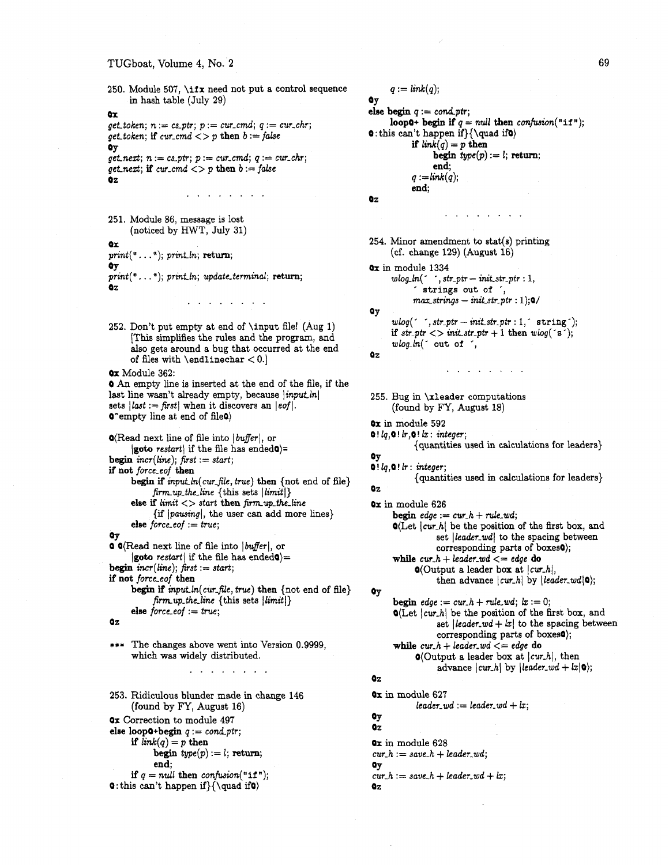### TUGboat, Volume **4,** No. **2**

250. Module 507, \ifx need not put a control sequence in hash table (July 29) **ax**   $get\_token; n := cs\_ptr; p := cur\_cmd; q := cur\_chr;$ get token; if cur-cmd  $\langle p \rangle$  then  $b := false$ **O**y  $get.next; n := cs\_ptr; p := cur\_cmd; q := cur\_chr;$ get next; if  $cur\_cmd \iff p$  then  $b := false$  $QZ$  $\begin{array}{cccccccccccccc} \bullet & \bullet & \bullet & \bullet & \bullet & \bullet & \bullet & \bullet & \bullet & \bullet & \bullet & \bullet \end{array}$ 251. Module 86, message is lost (noticed by HWT, July 31) **ax**   $print(" ... "); print lin; return;$ **Q**y  $print(" ... "); print ln; update-terminal; return;$ oz  $\mathbf{u}^{\prime}$  ,  $\mathbf{u}^{\prime}$  ,  $\mathbf{u}^{\prime}$  ,  $\mathbf{u}^{\prime}$  ,  $\mathbf{u}^{\prime}$  ,  $\mathbf{u}^{\prime}$  ,  $\mathbf{u}^{\prime}$ 252. Don't put empty at end of \input file! (Aug 1) [This simplifies the rules and the program, and also gets around a bug that occurred at the end of files with  $\end{math}$ **Ox** Module 362: 0 **An** empty line is inserted at the end of the file, if the last line wasn't already empty, because *input ln* sets  $\left| \text{last} \right| := \text{first} \right|$  when it discovers an  $\left| \text{eq} \right|$ . 0-empty line at end of fileO)  $\mathbf{O}(\text{Read next line of file into } | \text{buffer}|, \text{or}$  $|$ goto restart if the file has ended $\bullet$ )=  $begin{align} \n\text{begin} \n\text{incr} \n\end{align}$ if not force-eof then begin if *input ln(cur\_file, true)* then {not end of file}  $\{$ firm\_up\_the\_line  $\{$ this sets  $|$ limit $|$ } else if  $limit <$  start then firm up the line  $\{if | pausing|, the user can add more lines\}$ else force-eof  $:= true;$ **v**   $\bullet$   $\bullet$  (Read next line of file into  $|buffer|$ , or **goto** restart if the file has ended $\phi$  = **begin** incr(1ine); fist := start; if not force-eof then begin if input.ln(cur\_file, true) then {not end of file}  $firm.up-the-line$  {this sets  $|limit|$ } else  $force\_eof := true;$ Oz \*\*\* The changes above went into Version 0.9999, which was widely distributed.  $\mathbf{1} \left( \mathbf{1} \left( \mathbf{1} \left( \mathbf{1} \left( \mathbf{1} \left( \mathbf{1} \left( \mathbf{1} \left( \mathbf{1} \left( \mathbf{1} \left( \mathbf{1} \left( \mathbf{1} \right) \right) \right) \right) \right) \right) \right) \right) \right)$ 253. Ridiculous blunder made in change 146 (found by FY, August 16) Ox Correction to module 497 else loop $\mathbf{Q} + \mathbf{begin} q := cond\_ptr;$ if  $link(q) = p$  then begin  $type(p) := l$ ; return; end; if  $q = null$  then confusion("if"); **0**: this can't happen if  $\{ \quad if \}$ Oz

 $q := link(q);$ OY else begin  $q := cond_p t r$ ; loop0+ begin if  $q = null$  then confusion("if"); **0** : this can't happen if} $\{\qquad if\}\$ if  $link(q) = p$  then  $begin{bmatrix} type(p) := l;$  **return;** end;  $q :=$ link $(q)$ ; end; **Oz** . . . . . . . . 254. Minor amendment to stat(s) printing (cf. change 129) (August 16) **Ox** in module 1334  $wlog_1(n)$  ', str\_ptr - init\_str\_ptr : 1, ' strings out of ',  $max\_strings - init\_str\_ptr : 1);0/$ **Oy**  $wlog(' , str\_ptr - init\_str\_ptr : 1, ' string');$ if  $str\_ptr$   $\lt$   $>$  init  $str\_ptr + 1$  then wlog( $\degree$ s $\degree$ ); wlog-ln(' out of ', Oz 255. Bug in \xleader computations (found by FY, August 18) **Ox** in module 592  $Q$ !  $lq$ , $Q$ !  $lr$ , $Q$ !  $lx$ : integer; {quantities used in calculations for leaders) **O**<sub>V</sub>  $0!$   $lq,0!$   $lr:$  integer; {quantities used in calculations for leaders) oz Ox in module 626 **begin**  $edge := \text{cur}_h + \text{rule\_wd};$  $Q(\text{Let } | \text{curl } h | \text{ be the position of the first box, and})$ set *leader\_wd* to the spacing between corresponding parts of boxesa); while  $cur_h + leader_w = edge$  do  $\mathbf{O}(\text{Output a leader box at } | \text{curh} |),$ then advance  $|curl_h|$  by  $|leader_wd|0\rangle;$ **QY begin**  $edge := \text{cur}_h + \text{rule\_wd}; \ \text{lt} := 0;$  $Q(\text{Let } |cur,h|)$  be the position of the first box, and set *leader-wd +*  $|x|$  to the spacing between corresponding parts of boxes0); while  $cur_h + leader_w = edge$  do  $\mathbf{0}$ (Output a leader box at  $| \textit{cur-h} |$ , then advance  $|curl_h|$  by  $|leader_wd + |x|0\rangle;$ Oz Ox in module 627  $leader\_wd := leader\_wd + lx;$ **QY**  oz **Ox** in module 628  $cur_h := save_h + leader_wd;$ OY  $cur_h := save_h + leader_w + lx;$